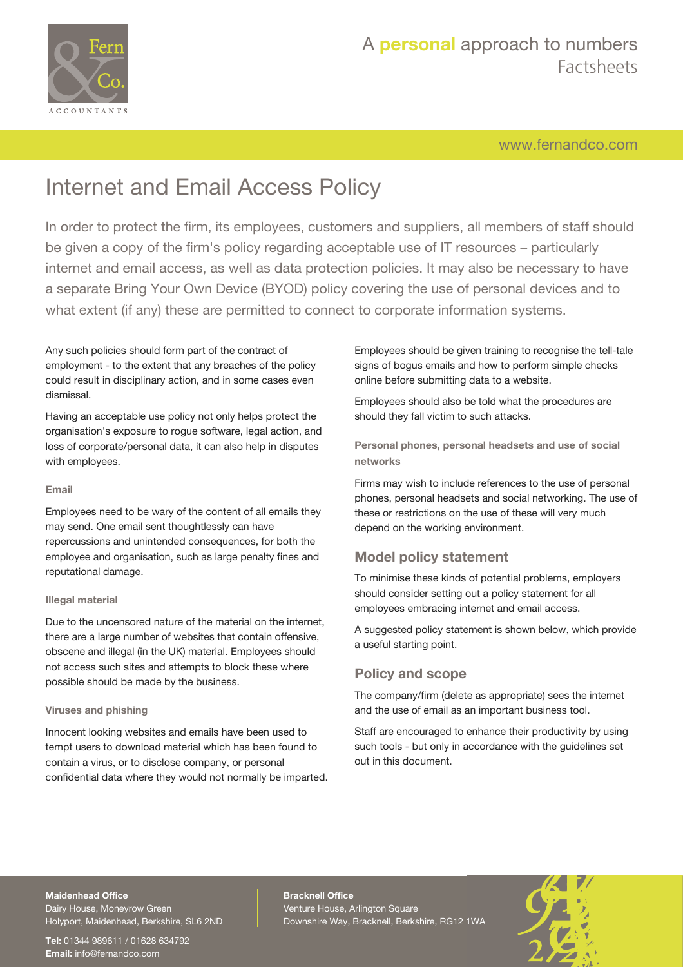

[www.fernandco.com](http://www.fernandco.com)

# Internet and Email Access Policy

In order to protect the firm, its employees, customers and suppliers, all members of staff should be given a copy of the firm's policy regarding acceptable use of IT resources – particularly internet and email access, as well as data protection policies. It may also be necessary to have a separate Bring Your Own Device (BYOD) policy covering the use of personal devices and to what extent (if any) these are permitted to connect to corporate information systems.

Any such policies should form part of the contract of employment - to the extent that any breaches of the policy could result in disciplinary action, and in some cases even dismissal.

Having an acceptable use policy not only helps protect the organisation's exposure to rogue software, legal action, and loss of corporate/personal data, it can also help in disputes with employees.

#### **Email**

Employees need to be wary of the content of all emails they may send. One email sent thoughtlessly can have repercussions and unintended consequences, for both the employee and organisation, such as large penalty fines and reputational damage.

#### **Illegal material**

Due to the uncensored nature of the material on the internet, there are a large number of websites that contain offensive, obscene and illegal (in the UK) material. Employees should not access such sites and attempts to block these where possible should be made by the business.

#### **Viruses and phishing**

Innocent looking websites and emails have been used to tempt users to download material which has been found to contain a virus, or to disclose company, or personal confidential data where they would not normally be imparted.

Employees should be given training to recognise the tell-tale signs of bogus emails and how to perform simple checks online before submitting data to a website.

Employees should also be told what the procedures are should they fall victim to such attacks.

**Personal phones, personal headsets and use of social networks**

Firms may wish to include references to the use of personal phones, personal headsets and social networking. The use of these or restrictions on the use of these will very much depend on the working environment.

### **Model policy statement**

To minimise these kinds of potential problems, employers should consider setting out a policy statement for all employees embracing internet and email access.

A suggested policy statement is shown below, which provide a useful starting point.

### **Policy and scope**

The company/firm (delete as appropriate) sees the internet and the use of email as an important business tool.

Staff are encouraged to enhance their productivity by using such tools - but only in accordance with the guidelines set out in this document.

### **Maidenhead Office**

Dairy House, Moneyrow Green Holyport, Maidenhead, Berkshire, SL6 2ND

**Tel:** 01344 989611 / 01628 634792 **Email:** [info@fernandco.com](mailto:info@fernandco.com)

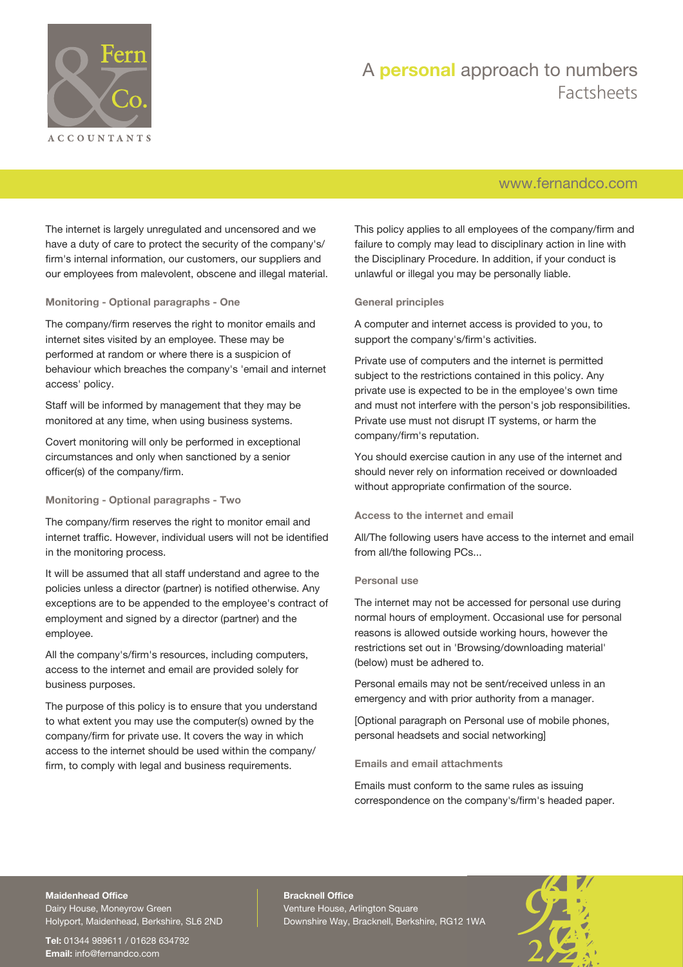

### [www.fernandco.com](http://www.fernandco.com)

The internet is largely unregulated and uncensored and we have a duty of care to protect the security of the company's/ firm's internal information, our customers, our suppliers and our employees from malevolent, obscene and illegal material.

#### **Monitoring - Optional paragraphs - One**

The company/firm reserves the right to monitor emails and internet sites visited by an employee. These may be performed at random or where there is a suspicion of behaviour which breaches the company's 'email and internet access' policy.

Staff will be informed by management that they may be monitored at any time, when using business systems.

Covert monitoring will only be performed in exceptional circumstances and only when sanctioned by a senior officer(s) of the company/firm.

**Monitoring - Optional paragraphs - Two**

The company/firm reserves the right to monitor email and internet traffic. However, individual users will not be identified in the monitoring process.

It will be assumed that all staff understand and agree to the policies unless a director (partner) is notified otherwise. Any exceptions are to be appended to the employee's contract of employment and signed by a director (partner) and the employee.

All the company's/firm's resources, including computers, access to the internet and email are provided solely for business purposes.

The purpose of this policy is to ensure that you understand to what extent you may use the computer(s) owned by the company/firm for private use. It covers the way in which access to the internet should be used within the company/ firm, to comply with legal and business requirements.

This policy applies to all employees of the company/firm and failure to comply may lead to disciplinary action in line with the Disciplinary Procedure. In addition, if your conduct is unlawful or illegal you may be personally liable.

#### **General principles**

A computer and internet access is provided to you, to support the company's/firm's activities.

Private use of computers and the internet is permitted subject to the restrictions contained in this policy. Any private use is expected to be in the employee's own time and must not interfere with the person's job responsibilities. Private use must not disrupt IT systems, or harm the company/firm's reputation.

You should exercise caution in any use of the internet and should never rely on information received or downloaded without appropriate confirmation of the source.

#### **Access to the internet and email**

All/The following users have access to the internet and email from all/the following PCs...

#### **Personal use**

The internet may not be accessed for personal use during normal hours of employment. Occasional use for personal reasons is allowed outside working hours, however the restrictions set out in 'Browsing/downloading material' (below) must be adhered to.

Personal emails may not be sent/received unless in an emergency and with prior authority from a manager.

[Optional paragraph on Personal use of mobile phones, personal headsets and social networking]

#### **Emails and email attachments**

Emails must conform to the same rules as issuing correspondence on the company's/firm's headed paper.

### **Maidenhead Office**

Dairy House, Moneyrow Green Holyport, Maidenhead, Berkshire, SL6 2ND

**Tel:** 01344 989611 / 01628 634792 **Email:** [info@fernandco.com](mailto:info@fernandco.com)

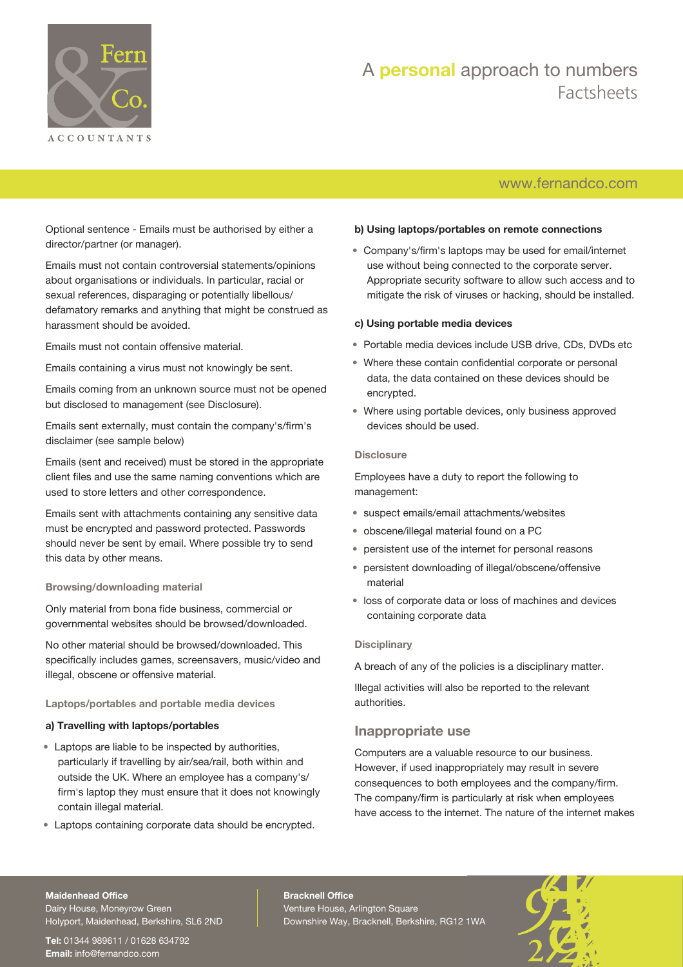

### [www.fernandco.com](http://www.fernandco.com)

Optional sentence - Emails must be authorised by either a director/partner (or manager).

Emails must not contain controversial statements/opinions about organisations or individuals. In particular, racial or sexual references, disparaging or potentially libellous/ defamatory remarks and anything that might be construed as harassment should be avoided.

Emails must not contain offensive material.

Emails containing a virus must not knowingly be sent.

Emails coming from an unknown source must not be opened but disclosed to management (see Disclosure).

Emails sent externally, must contain the company's/firm's disclaimer (see sample below)

Emails (sent and received) must be stored in the appropriate client files and use the same naming conventions which are used to store letters and other correspondence.

Emails sent with attachments containing any sensitive data must be encrypted and password protected. Passwords should never be sent by email. Where possible try to send this data by other means.

#### **Browsing/downloading material**

Only material from bona fide business, commercial or governmental websites should be browsed/downloaded.

No other material should be browsed/downloaded. This specifically includes games, screensavers, music/video and illegal, obscene or offensive material.

#### **Laptops/portables and portable media devices**

#### **a) Travelling with laptops/portables**

- Laptops are liable to be inspected by authorities, particularly if travelling by air/sea/rail, both within and outside the UK. Where an employee has a company's/ firm's laptop they must ensure that it does not knowingly contain illegal material.
- Laptops containing corporate data should be encrypted.

#### **b) Using laptops/portables on remote connections**

• Company's/firm's laptops may be used for email/internet use without being connected to the corporate server. Appropriate security software to allow such access and to mitigate the risk of viruses or hacking, should be installed.

#### **c) Using portable media devices**

- Portable media devices include USB drive, CDs, DVDs etc
- Where these contain confidential corporate or personal data, the data contained on these devices should be encrypted.
- Where using portable devices, only business approved devices should be used.

#### **Disclosure**

Employees have a duty to report the following to management:

- suspect emails/email attachments/websites
- obscene/illegal material found on a PC
- persistent use of the internet for personal reasons
- persistent downloading of illegal/obscene/offensive material
- loss of corporate data or loss of machines and devices containing corporate data

#### **Disciplinary**

A breach of any of the policies is a disciplinary matter.

Illegal activities will also be reported to the relevant authorities.

### **Inappropriate use**

Computers are a valuable resource to our business. However, if used inappropriately may result in severe consequences to both employees and the company/firm. The company/firm is particularly at risk when employees have access to the internet. The nature of the internet makes

#### **Maidenhead Office**

Dairy House, Moneyrow Green Holyport, Maidenhead, Berkshire, SL6 2ND

**Tel:** 01344 989611 / 01628 634792 **Email:** [info@fernandco.com](mailto:info@fernandco.com)

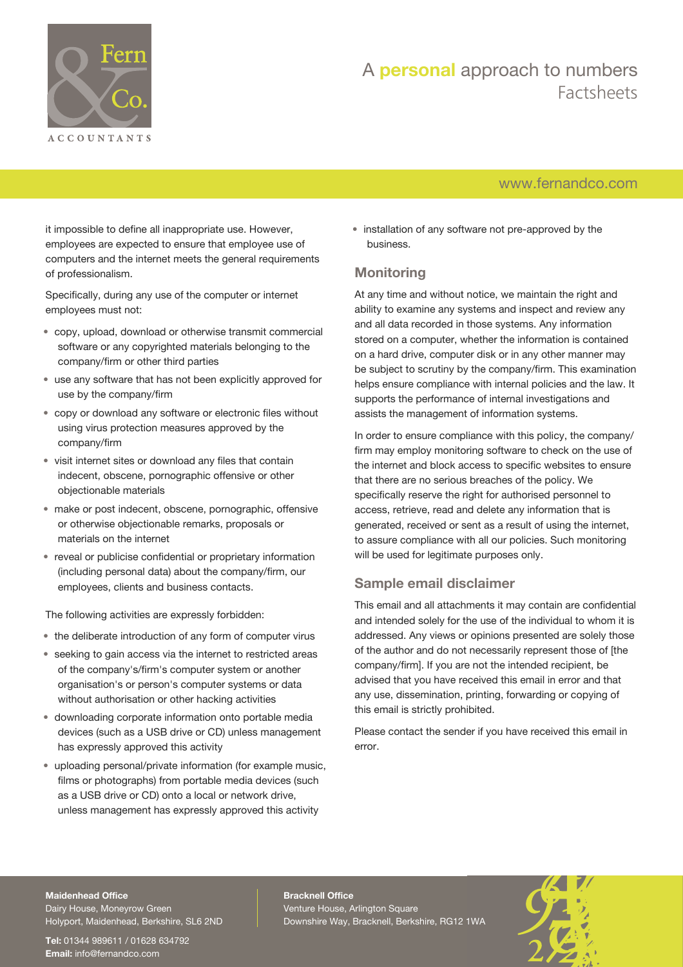

### [www.fernandco.com](http://www.fernandco.com)

it impossible to define all inappropriate use. However, employees are expected to ensure that employee use of computers and the internet meets the general requirements of professionalism.

Specifically, during any use of the computer or internet employees must not:

- copy, upload, download or otherwise transmit commercial software or any copyrighted materials belonging to the company/firm or other third parties
- use any software that has not been explicitly approved for use by the company/firm
- copy or download any software or electronic files without using virus protection measures approved by the company/firm
- visit internet sites or download any files that contain indecent, obscene, pornographic offensive or other objectionable materials
- make or post indecent, obscene, pornographic, offensive or otherwise objectionable remarks, proposals or materials on the internet
- reveal or publicise confidential or proprietary information (including personal data) about the company/firm, our employees, clients and business contacts.

The following activities are expressly forbidden:

- the deliberate introduction of any form of computer virus
- seeking to gain access via the internet to restricted areas of the company's/firm's computer system or another organisation's or person's computer systems or data without authorisation or other hacking activities
- downloading corporate information onto portable media devices (such as a USB drive or CD) unless management has expressly approved this activity
- uploading personal/private information (for example music, films or photographs) from portable media devices (such as a USB drive or CD) onto a local or network drive, unless management has expressly approved this activity

• installation of any software not pre-approved by the business.

### **Monitoring**

At any time and without notice, we maintain the right and ability to examine any systems and inspect and review any and all data recorded in those systems. Any information stored on a computer, whether the information is contained on a hard drive, computer disk or in any other manner may be subject to scrutiny by the company/firm. This examination helps ensure compliance with internal policies and the law. It supports the performance of internal investigations and assists the management of information systems.

In order to ensure compliance with this policy, the company/ firm may employ monitoring software to check on the use of the internet and block access to specific websites to ensure that there are no serious breaches of the policy. We specifically reserve the right for authorised personnel to access, retrieve, read and delete any information that is generated, received or sent as a result of using the internet, to assure compliance with all our policies. Such monitoring will be used for legitimate purposes only.

### **Sample email disclaimer**

This email and all attachments it may contain are confidential and intended solely for the use of the individual to whom it is addressed. Any views or opinions presented are solely those of the author and do not necessarily represent those of [the company/firm]. If you are not the intended recipient, be advised that you have received this email in error and that any use, dissemination, printing, forwarding or copying of this email is strictly prohibited.

Please contact the sender if you have received this email in error.

#### **Maidenhead Office**

Dairy House, Moneyrow Green Holyport, Maidenhead, Berkshire, SL6 2ND

**Tel:** 01344 989611 / 01628 634792 **Email:** [info@fernandco.com](mailto:info@fernandco.com)